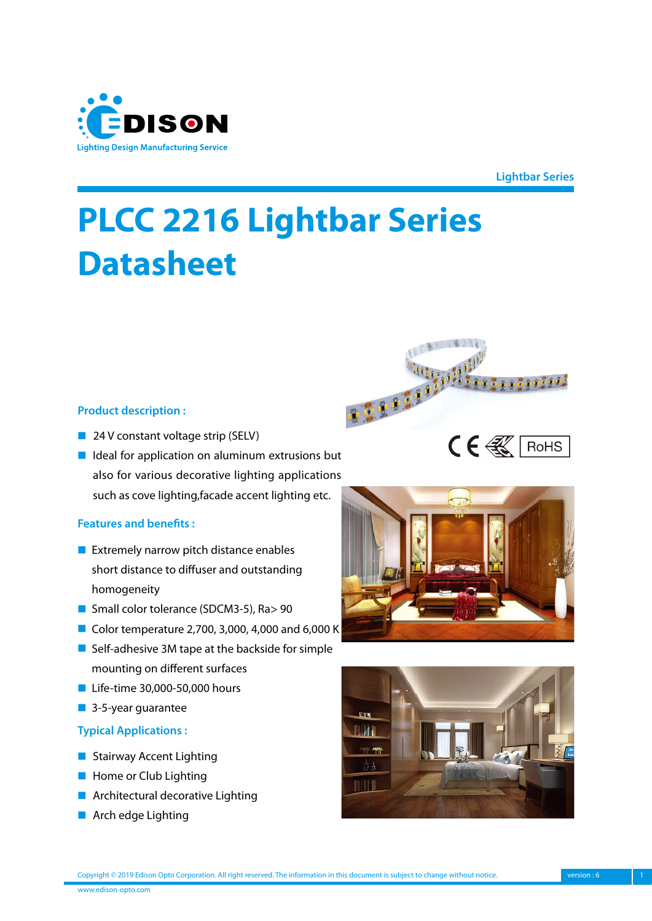

**Lightbar Series**

800800*000* 

 $C \in \mathbb{R}$  RoHS

# **PLCC 2216 Lightbar Series Datasheet**

#### **Product description :**

- 24 V constant voltage strip (SELV)
- Ideal for application on aluminum extrusions but also for various decorative lighting applications such as cove lighting,facade accent lighting etc.

#### **Features and benefits :**

- Extremely narrow pitch distance enables short distance to diffuser and outstanding homogeneity
- Small color tolerance (SDCM3-5), Ra> 90
- Color temperature 2,700, 3,000, 4,000 and 6,000 K
- Self-adhesive 3M tape at the backside for simple mounting on different surfaces
- Life-time 30,000-50,000 hours
- **■** 3-5-year guarantee

#### **Typical Applications :**

- Stairway Accent Lighting
- Home or Club Lighting
- Architectural decorative Lighting
- Arch edge Lighting



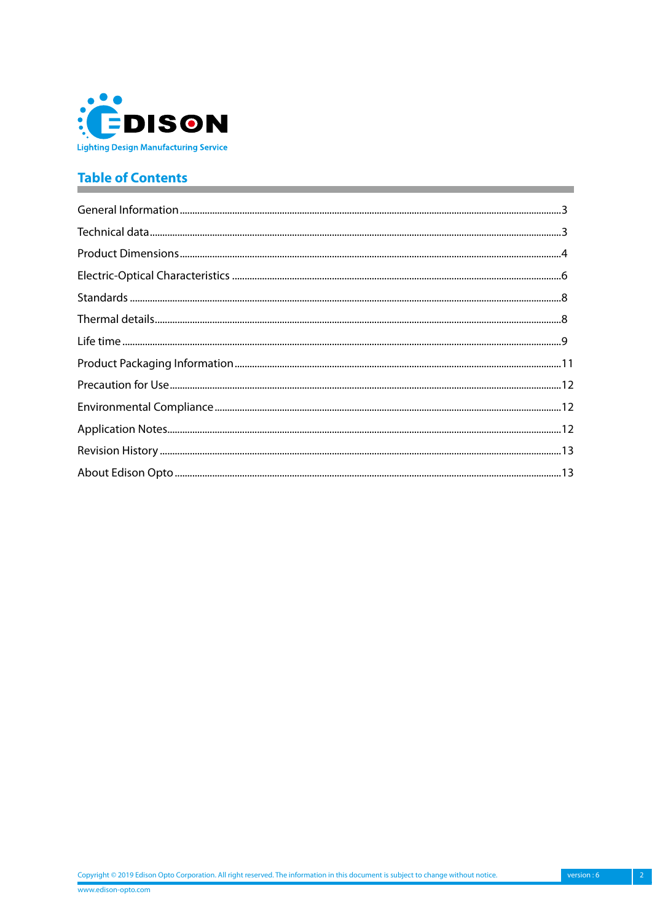

# **Table of Contents**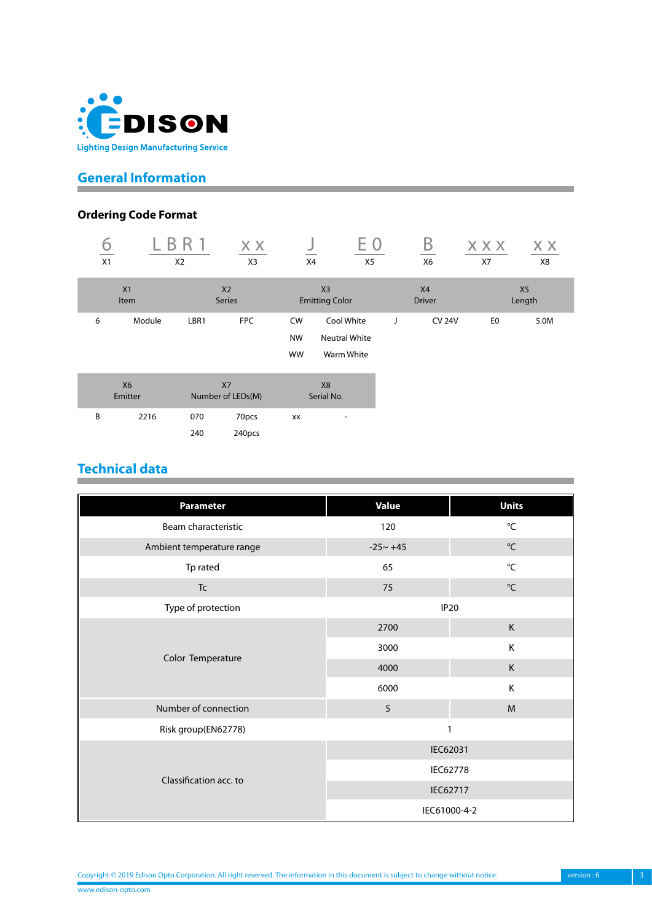<span id="page-2-0"></span>

# **General Information**

# **Ordering Code Format**

| X1                   | X2     |                                 | X X<br>X3       | X4                           | E O<br>X <sub>5</sub>                            |   | B<br>X6             | <b>XXX</b><br>X7 | X X<br>X8                |
|----------------------|--------|---------------------------------|-----------------|------------------------------|--------------------------------------------------|---|---------------------|------------------|--------------------------|
| X1<br>Item           |        | X <sub>2</sub><br><b>Series</b> |                 |                              | X <sub>3</sub><br><b>Emitting Color</b>          |   | X4<br><b>Driver</b> |                  | X <sub>5</sub><br>Length |
| 6                    | Module | LBR1                            | <b>FPC</b>      | CW<br><b>NW</b><br><b>WW</b> | Cool White<br><b>Neutral White</b><br>Warm White | J | <b>CV 24V</b>       | E <sub>0</sub>   | 5.0M                     |
| <b>X6</b><br>Emitter |        | X7<br>Number of LEDs(M)         |                 |                              | X <sub>8</sub><br>Serial No.                     |   |                     |                  |                          |
| B                    | 2216   | 070<br>240                      | 70pcs<br>240pcs | XX                           | ٠                                                |   |                     |                  |                          |

# **Technical data**

| <b>Parameter</b>          | <b>Value</b>    | <b>Units</b>      |  |  |
|---------------------------|-----------------|-------------------|--|--|
| Beam characteristic       | 120             | $^{\circ}$ C      |  |  |
| Ambient temperature range | $-25 - +45$     | $^{\circ}$ C      |  |  |
| Tp rated                  | 65              | $^{\circ}{\sf C}$ |  |  |
| $\mathsf{T}\mathsf{c}$    | 75              | $^{\circ}$ C      |  |  |
| Type of protection        |                 | <b>IP20</b>       |  |  |
|                           | 2700            | $\mathsf K$       |  |  |
|                           | 3000            | K                 |  |  |
| Color Temperature         | 4000            | $\mathsf K$       |  |  |
|                           | 6000            | K                 |  |  |
| Number of connection      | 5               | M                 |  |  |
| Risk group(EN62778)       |                 | 1                 |  |  |
|                           | IEC62031        |                   |  |  |
|                           | <b>IEC62778</b> |                   |  |  |
| Classification acc. to    | IEC62717        |                   |  |  |
|                           |                 | IEC61000-4-2      |  |  |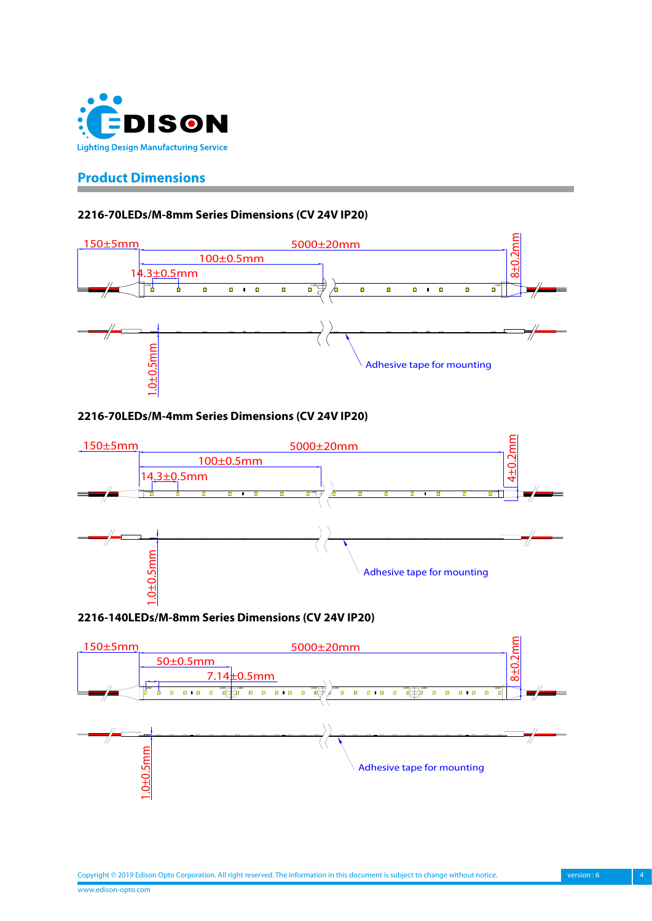<span id="page-3-0"></span>

## **Product Dimensions**

#### **2216-70LEDs/M-8mm Series Dimensions (CV 24V IP20)**



#### **2216-70LEDs/M-4mm Series Dimensions (CV 24V IP20)**



**2216-140LEDs/M-8mm Series Dimensions (CV 24V IP20)**

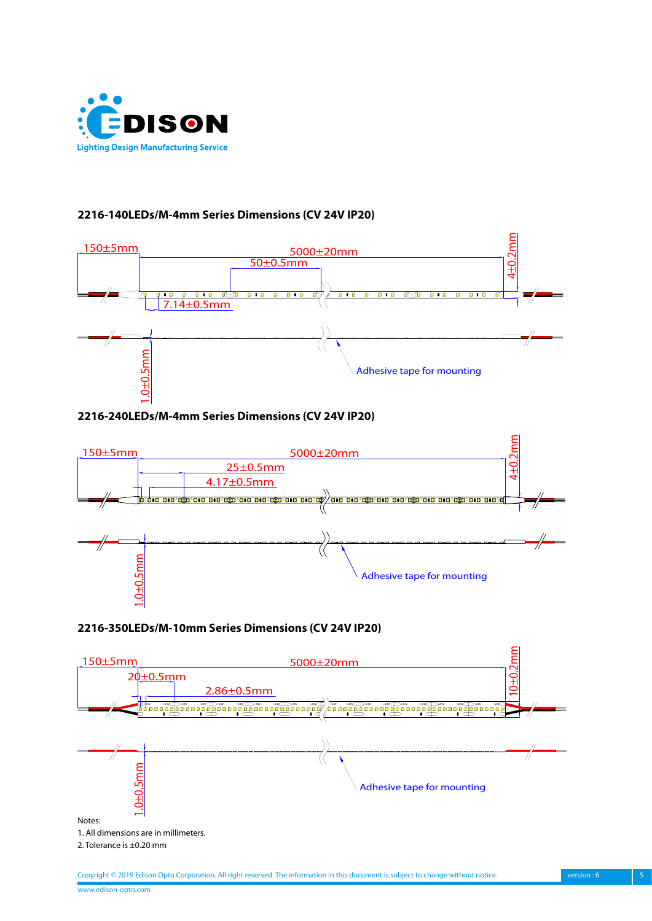

#### **2216-140LEDs/M-4mm Series Dimensions (CV 24V IP20)**



#### **2216-240LEDs/M-4mm Series Dimensions (CV 24V IP20)**



#### **2216-350LEDs/M-10mm Series Dimensions (CV 24V IP20)**

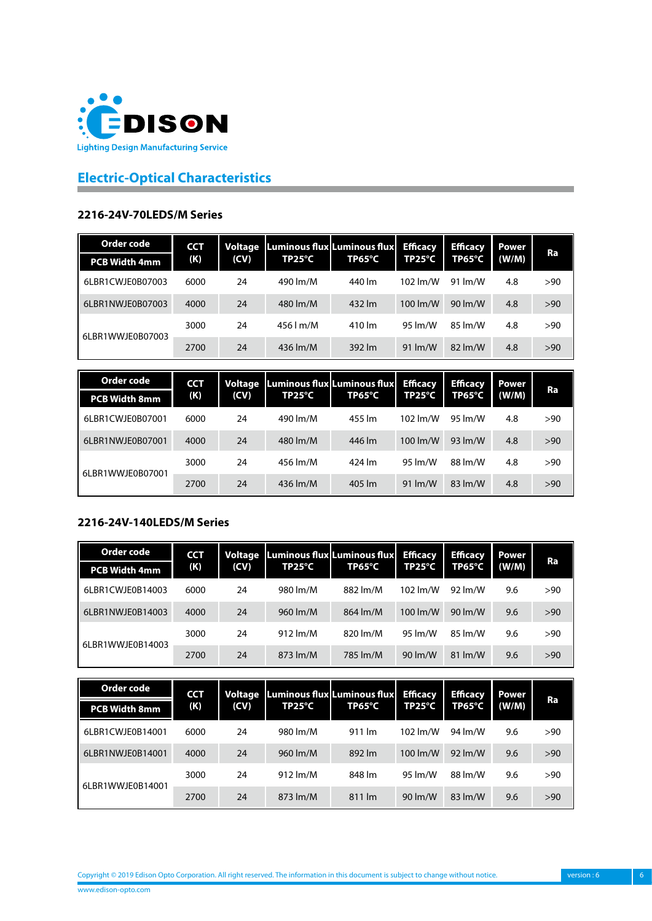<span id="page-5-0"></span>

# **Electric-Optical Characteristics**

#### **2216-24V-70LEDS/M Series**

| Order code<br><b>PCB Width 4mm</b> | <b>CCT</b><br>(K) | (CV) | TP25°C              | Voltage Luminous flux Luminous flux<br>TP65°C | <b>Efficacy</b><br>$TP25^{\circ}C$ | <b>Efficacy</b><br>TP65°C  | Power<br>(W/M) | Ra  |
|------------------------------------|-------------------|------|---------------------|-----------------------------------------------|------------------------------------|----------------------------|----------------|-----|
| 6LBR1CWJE0B07003                   | 6000              | 24   | 490 lm/M            | 440 lm                                        | 102 lm/W                           | 91 lm/W                    | 4.8            | >90 |
| 6LBR1NWJE0B07003                   | 4000              | 24   | 480 lm/M            | 432 lm                                        | 100 $\rm{Im}/W$                    | 90 lm/W                    | 4.8            | >90 |
| 6LBR1WWJE0B07003                   | 3000              | 24   | $456$ $\text{Im/M}$ | 410 lm                                        | 95 lm/W                            | 85 lm/W                    | 4.8            | >90 |
|                                    | 2700              | 24   | 436 lm/M            | 392 lm                                        | $91 \, \text{Im}/\text{W}$         | $82 \, \text{Im}/\text{W}$ | 4.8            | >90 |

| Order code           | <b>CCT</b><br>(K) |      |          |        | Voltage Luminous flux Luminous flux | <b>Efficacy</b>            | <b>Efficacy</b> | Power | Ra |
|----------------------|-------------------|------|----------|--------|-------------------------------------|----------------------------|-----------------|-------|----|
| <b>PCB Width 8mm</b> |                   | (CV) | TP25°C   | TP65°C | TP25°C                              | TP65°C                     | (W/M)           |       |    |
| 6LBR1CWJE0B07001     | 6000              | 24   | 490 lm/M | 455 lm | 102 lm/W                            | 95 lm/W                    | 4.8             | >90   |    |
| 6LBR1NWJE0B07001     | 4000              | 24   | 480 lm/M | 446 lm | 100 $\rm{Im}/W$                     | 93 $Im/W$                  | 4.8             | >90   |    |
| 6LBR1WWJE0B07001     | 3000              | 24   | 456 lm/M | 424 lm | 95 lm/W                             | 88 lm/W                    | 4.8             | >90   |    |
|                      | 2700              | 24   | 436 lm/M | 405 lm | $91 \, \text{Im}/\text{W}$          | $83 \, \text{Im}/\text{W}$ | 4.8             | >90   |    |

## **2216-24V-140LEDS/M Series**

| Order code           | <b>CCT</b> | Voltage | Luminous flux Luminous flux |          | <b>Efficacy</b>             | <b>Efficacy</b>            | <b>Power</b> | Ra  |
|----------------------|------------|---------|-----------------------------|----------|-----------------------------|----------------------------|--------------|-----|
| <b>PCB Width 4mm</b> | (K)        | (CV)    | TP25°C                      | TP65°C   | TP25°C                      | TP65°C                     | (W/M)        |     |
| 6LBR1CWJE0B14003     | 6000       | 24      | 980 lm/M                    | 882 lm/M | 102 $\rm{Im}/W$             | 92 $\mu$ M                 | 9.6          | >90 |
| 6LBR1NWJE0B14003     | 4000       | 24      | 960 lm/M                    | 864 lm/M | $100 \, \text{Im}/\text{W}$ | $90 \, \text{Im}/\text{W}$ | 9.6          | >90 |
| 6LBR1WWJE0B14003     | 3000       | 24      | 912 $Im/M$                  | 820 lm/M | 95 lm/W                     | 85 lm/W                    | 9.6          | >90 |
|                      | 2700       | 24      | 873 lm/M                    | 785 lm/M | 90 lm/W                     | $81 \, \text{Im/W}$        | 9.6          | >90 |

| Order code           | <b>CCT</b><br>(K) | Voltage |                   | Luminous flux Luminous flux | <b>Efficacy</b> | <b>Efficacy</b>            | <b>Power</b> |     |
|----------------------|-------------------|---------|-------------------|-----------------------------|-----------------|----------------------------|--------------|-----|
| <b>PCB Width 8mm</b> |                   | (CV)    | TP25 $^{\circ}$ C | TP65°C                      | TP25°C          | TP65°C                     | (W/M)        | Ra  |
| 6LBR1CWJE0B14001     | 6000              | 24      | 980 lm/M          | 911 lm                      | 102 lm/W        | 94 lm/W                    | 9.6          | >90 |
| 6LBR1NWJE0B14001     | 4000              | 24      | 960 lm/M          | 892 lm                      | 100 lm/W        | $92 \, \text{Im}/\text{W}$ | 9.6          | >90 |
| 6LBR1WWJE0B14001     | 3000              | 24      | 912 $Im/M$        | 848 lm                      | 95 lm/W         | 88 lm/W                    | 9.6          | >90 |
|                      | 2700              | 24      | 873 lm/M          | $811 \, \text{Im}$          | 90 $\rm{Im}/W$  | $83 \, \text{Im}/\text{W}$ | 9.6          | >90 |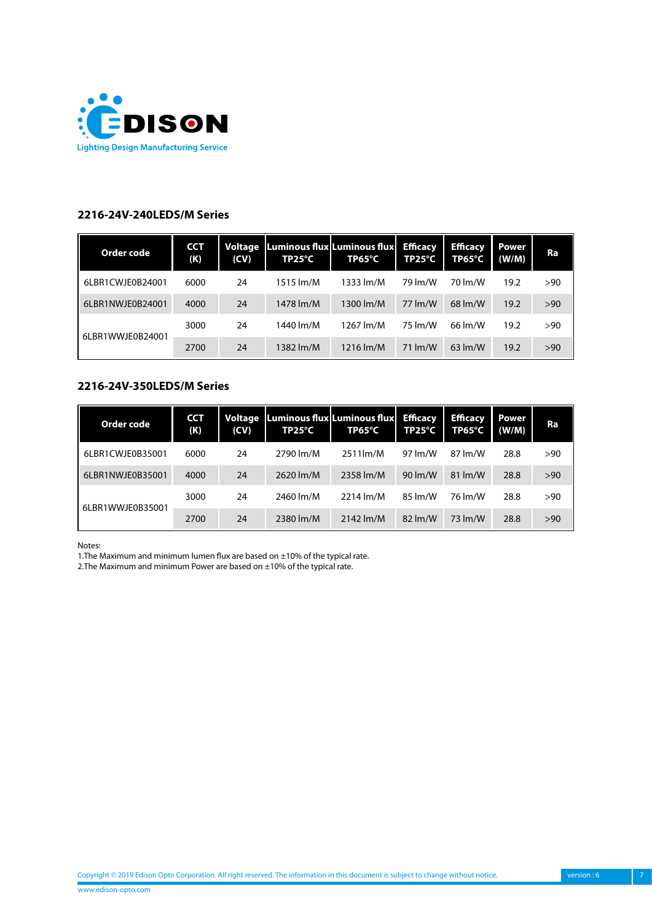

#### **2216-24V-240LEDS/M Series**

| Order code       | <b>CCT</b><br>(K) | Voltage<br>(CV) | TP25°C    | Luminous flux Luminous flux<br>TP65°C | <b>Efficacy</b><br>$TP25^{\circ}C$ | <b>Efficacy</b><br>TP65°C | Power<br>(W/M) | Ra  |
|------------------|-------------------|-----------------|-----------|---------------------------------------|------------------------------------|---------------------------|----------------|-----|
| 6LBR1CWJE0B24001 | 6000              | 24              | 1515 lm/M | 1333 lm/M                             | 79 lm/W                            | 70 lm/W                   | 19.2           | >90 |
| 6LBR1NWJE0B24001 | 4000              | 24              | 1478 lm/M | 1300 lm/M                             | 77 lm/W                            | $68 \, \text{Im/W}$       | 19.2           | >90 |
| 6LBR1WWJE0B24001 | 3000              | 24              | 1440 lm/M | 1267 lm/M                             | 75 lm/W                            | 66 lm/W                   | 19.2           | >90 |
|                  | 2700              | 24              | 1382 lm/M | 1216 lm/M                             | $71 \, \text{Im/W}$                | $63 \text{ Im/W}$         | 19.2           | >90 |

#### **2216-24V-350LEDS/M Series**

| Order code       | <b>CCT</b><br>(K) | <b>Voltage</b><br>(CV) | $TP25^{\circ}C$ | Luminous flux Luminous flux Efficacy<br>TP65°C | TP25°C                     | <b>Efficacy</b><br>TP65°C  | Power<br>(W/M) | Ra  |
|------------------|-------------------|------------------------|-----------------|------------------------------------------------|----------------------------|----------------------------|----------------|-----|
| 6LBR1CWJE0B35001 | 6000              | 24                     | 2790 lm/M       | 2511lm/M                                       | 97 lm/W                    | 87 lm/W                    | 28.8           | >90 |
| 6LBR1NWJE0B35001 | 4000              | 24                     | 2620 lm/M       | 2358 lm/M                                      | 90 lm/W                    | $81 \, \text{Im}/\text{W}$ | 28.8           | >90 |
| 6LBR1WWJE0B35001 | 3000              | 24                     | 2460 lm/M       | $2214 \text{ Im/M}$                            | 85 lm/W                    | 76 lm/W                    | 28.8           | >90 |
|                  | 2700              | 24                     | 2380 lm/M       | $2142$ lm/M                                    | $82 \, \text{Im}/\text{W}$ | 73 lm/W                    | 28.8           | >90 |

Notes:

1. The Maximum and minimum lumen flux are based on  $\pm 10\%$  of the typical rate.

2. The Maximum and minimum Power are based on  $\pm 10\%$  of the typical rate.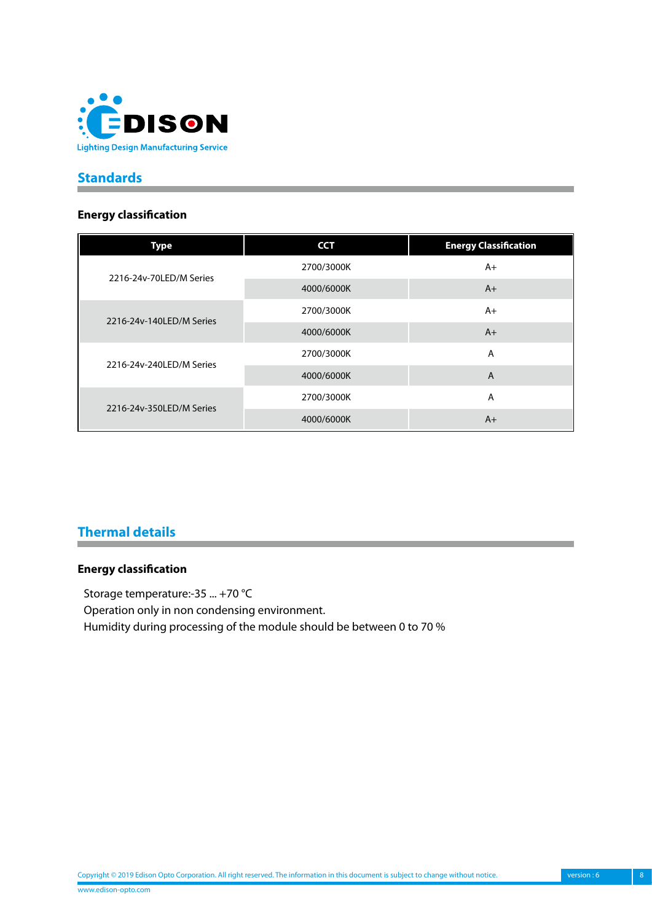<span id="page-7-0"></span>

## **Standards**

#### **Energy classification**

| <b>Type</b>              | <b>CCT</b> | <b>Energy Classification</b> |
|--------------------------|------------|------------------------------|
| 2216-24v-70LED/M Series  | 2700/3000K | $A+$                         |
|                          | 4000/6000K | $A+$                         |
|                          | 2700/3000K | $A+$                         |
| 2216-24y-140LED/M Series | 4000/6000K | $A+$                         |
|                          | 2700/3000K | A                            |
| 2216-24v-240LED/M Series | 4000/6000K | A                            |
|                          | 2700/3000K | A                            |
| 2216-24y-350LED/M Series | 4000/6000K | $A+$                         |

# **Thermal details**

#### **Energy classification**

Storage temperature:-35 ... +70 °C Operation only in non condensing environment. Humidity during processing of the module should be between 0 to 70 %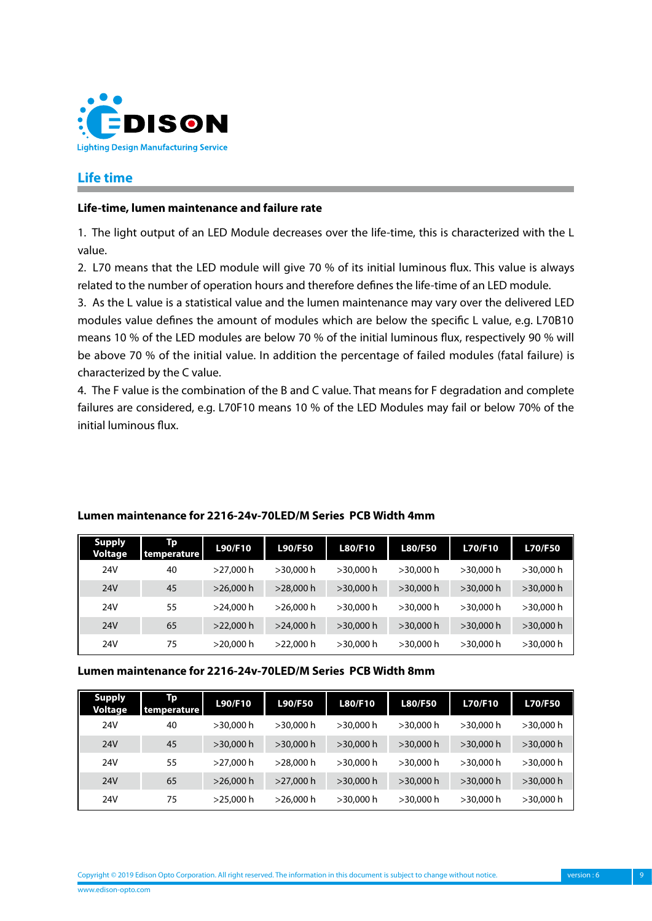<span id="page-8-0"></span>

## **Life time**

#### **Life-time, lumen maintenance and failure rate**

1. The light output of an LED Module decreases over the life-time, this is characterized with the L value.

2. L70 means that the LED module will give 70 % of its initial luminous flux. This value is always related to the number of operation hours and therefore defines the life-time of an LED module.

3. As the L value is a statistical value and the lumen maintenance may vary over the delivered LED modules value defines the amount of modules which are below the specific L value, e.g. L70B10 means 10 % of the LED modules are below 70 % of the initial luminous flux, respectively 90 % will be above 70 % of the initial value. In addition the percentage of failed modules (fatal failure) is characterized by the C value.

4. The F value is the combination of the B and C value. That means for F degradation and complete failures are considered, e.g. L70F10 means 10 % of the LED Modules may fail or below 70% of the initial luminous flux.

| <b>Supply</b><br><b>Voltage</b> | Tp<br>temperature | L90/F10      | <b>L90/F50</b> | L80/F10      | <b>L80/F50</b> | <b>L70/F10</b> | <b>L70/F50</b> |
|---------------------------------|-------------------|--------------|----------------|--------------|----------------|----------------|----------------|
| 24V                             | 40                | $>$ 27.000 h | $>30.000$ h    | >30,000 h    | >30.000 h      | >30,000 h      | $>$ 30,000 h   |
| 24V                             | 45                | $>$ 26,000 h | $>$ 28,000 h   | $>30,000$ h  | $>$ 30.000 h   | $>30,000$ h    | $>30,000$ h    |
| 24V                             | 55                | $>$ 24.000 h | $>$ 26.000 h   | >30.000 h    | $>30,000$ h    | $>$ 30.000 h   | $>$ 30,000 h   |
| 24V                             | 65                | $>22,000$ h  | $>$ 24,000 h   | $>30,000$ h  | $>$ 30.000 h   | $>30,000$ h    | $>30,000$ h    |
| 24V                             | 75                | $>$ 20.000 h | $>22,000$ h    | $>$ 30.000 h | >30.000 h      | >30,000 h      | >30,000 h      |

#### **Lumen maintenance for 2216-24v-70LED/M Series PCB Width 4mm**

#### **Lumen maintenance for 2216-24v-70LED/M Series PCB Width 8mm**

| <b>Supply</b><br>Voltage | Тp<br>temperature | L90/F10      | <b>L90/F50</b> | <b>L80/F10</b> | <b>L80/F50</b> | <b>L70/F10</b> | <b>L70/F50</b> |
|--------------------------|-------------------|--------------|----------------|----------------|----------------|----------------|----------------|
| 24V                      | 40                | $>$ 30.000 h | $>30.000$ h    | $>30,000$ h    | $>30,000$ h    | >30,000 h      | $>$ 30,000 h   |
| 24V                      | 45                | $>30,000$ h  | $>$ 30,000 h   | $>30,000$ h    | $>30,000$ h    | $>30,000$ h    | $>30,000$ h    |
| 24V                      | 55                | >27,000 h    | $>$ 28.000 h   | >30.000 h      | >30.000 h      | $>$ 30.000 h   | $>$ 30,000 h   |
| 24V                      | 65                | $>$ 26,000 h | $>27,000$ h    | $>30,000$ h    | $>30,000$ h    | $>$ 30,000 h   | $>30,000$ h    |
| 24V                      | 75                | $>$ 25.000 h | $>$ 26.000 h   | $>$ 30.000 h   | $>30,000$ h    | >30.000 h      | $>30,000$ h    |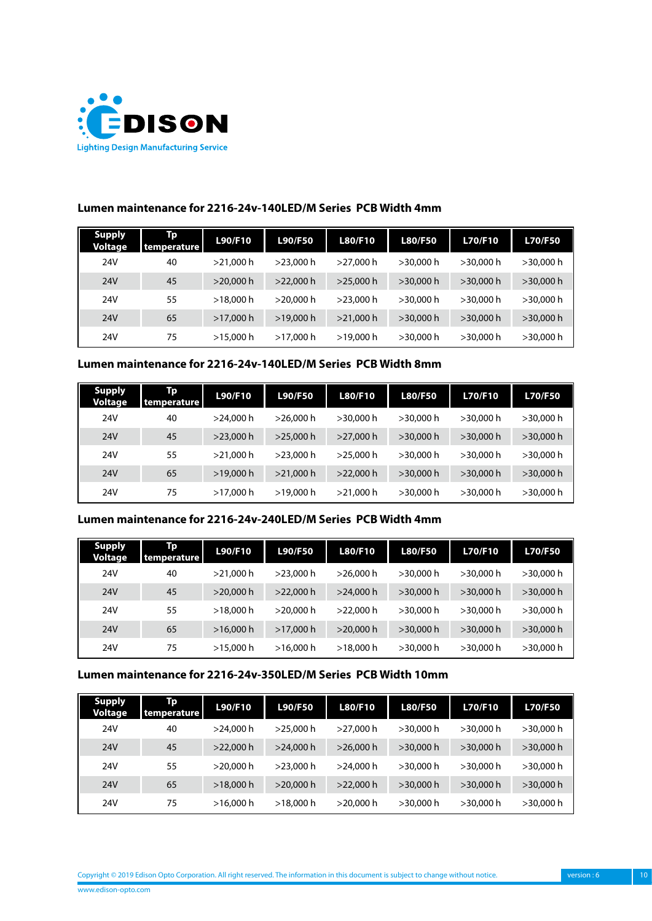

| <b>Supply</b><br><b>Voltage</b> | Tp<br>temperature | L90/F10      | <b>L90/F50</b> | L80/F10      | <b>L80/F50</b> | <b>L70/F10</b> | <b>L70/F50</b> |
|---------------------------------|-------------------|--------------|----------------|--------------|----------------|----------------|----------------|
| 24V                             | 40                | $>$ 21.000 h | >23.000 h      | $>$ 27.000 h | >30.000 h      | >30,000 h      | $>30,000$ h    |
| 24V                             | 45                | $>$ 20.000 h | $>22,000$ h    | >25,000 h    | $>$ 30.000 h   | $>$ 30.000 h   | $>30,000$ h    |
| 24V                             | 55                | >18.000 h    | >20.000 h      | $>$ 23.000 h | >30.000 h      | >30.000 h      | $>$ 30,000 h   |
| 24V                             | 65                | >17.000 h    | >19.000 h      | $>$ 21,000 h | $>$ 30.000 h   | $>$ 30.000 h   | $>30,000$ h    |
| 24V                             | 75                | >15,000 h    | >17.000 h      | >19,000 h    | >30,000 h      | >30.000 h      | $>30,000$ h    |

### **Lumen maintenance for 2216-24v-140LED/M Series PCB Width 4mm**

#### **Lumen maintenance for 2216-24v-140LED/M Series PCB Width 8mm**

| <b>Supply</b><br><b>Voltage</b> | Тp<br>temperature | L90/F10      | <b>L90/F50</b> | L80/F10      | <b>L80/F50</b> | <b>L70/F10</b> | <b>L70/F50</b> |
|---------------------------------|-------------------|--------------|----------------|--------------|----------------|----------------|----------------|
| 24V                             | 40                | $>$ 24.000 h | >26.000 h      | $>$ 30.000 h | $>$ 30.000 h   | >30,000 h      | $>$ 30,000 h   |
| 24V                             | 45                | $>$ 23,000 h | >25,000 h      | $>$ 27,000 h | $>$ 30,000 h   | $>30,000$ h    | $>30,000$ h    |
| 24V                             | 55                | $>$ 21.000 h | $>$ 23.000 h   | $>25,000$ h  | $>$ 30.000 h   | >30.000 h      | $>$ 30,000 h   |
| 24V                             | 65                | >19,000 h    | $>$ 21.000 h   | $>22,000$ h  | $>$ 30.000 h   | $>$ 30.000 h   | $>30,000$ h    |
| 24V                             | 75                | $>17,000$ h  | >19,000 h      | $>$ 21,000 h | >30.000 h      | >30.000 h      | $>30,000$ h    |

#### **Lumen maintenance for 2216-24v-240LED/M Series PCB Width 4mm**

| <b>Supply</b><br>Voltage | Тp<br>temperature | L90/F10      | <b>L90/F50</b> | <b>L80/F10</b> | <b>L80/F50</b> | <b>L70/F10</b> | <b>L70/F50</b> |
|--------------------------|-------------------|--------------|----------------|----------------|----------------|----------------|----------------|
| 24V                      | 40                | $>$ 21.000 h | $>$ 23.000 h   | $>$ 26,000 h   | >30.000 h      | >30,000 h      | $>$ 30,000 h   |
| 24V                      | 45                | $>20,000$ h  | $>22,000$ h    | $>24,000$ h    | $>30,000$ h    | $>$ 30,000 h   | $>30,000$ h    |
| 24V                      | 55                | >18.000 h    | $>$ 20.000 h   | >22.000 h      | >30.000 h      | $>$ 30.000 h   | $>$ 30,000 h   |
| 24V                      | 65                | >16,000 h    | >17,000h       | $>$ 20,000 h   | $>30,000$ h    | $>$ 30.000 h   | $>30,000$ h    |
| 24V                      | 75                | >15,000 h    | >16.000 h      | >18.000 h      | $>30,000$ h    | >30.000 h      | $>30,000$ h    |

#### **Lumen maintenance for 2216-24v-350LED/M Series PCB Width 10mm**

| <b>Supply</b><br>Voltage | Тp<br>temperature | L90/F10     | <b>L90/F50</b> | <b>L80/F10</b> | <b>L80/F50</b> | <b>L70/F10</b> | <b>L70/F50</b> |
|--------------------------|-------------------|-------------|----------------|----------------|----------------|----------------|----------------|
| 24V                      | 40                | >24.000 h   | $>$ 25,000 h   | >27.000 h      | $>$ 30,000 h   | $>$ 30.000 h   | $>30,000$ h    |
| 24V                      | 45                | $>22,000$ h | >24.000 h      | $>$ 26.000 h   | $>$ 30,000 h   | $>$ 30,000 h   | $>30,000$ h    |
| 24V                      | 55                | >20.000 h   | $>$ 23.000 h   | >24.000 h      | $>$ 30,000 h   | $>$ 30.000 h   | $>$ 30,000 h   |
| 24V                      | 65                | $>18,000$ h | $>$ 20,000 h   | $>$ 22,000 h   | $>$ 30,000 h   | $>$ 30,000 h   | $>30,000$ h    |
| 24V                      | 75                | >16.000 h   | >18,000 h      | $>$ 20,000 h   | $>30,000$ h    | >30.000 h      | >30,000 h      |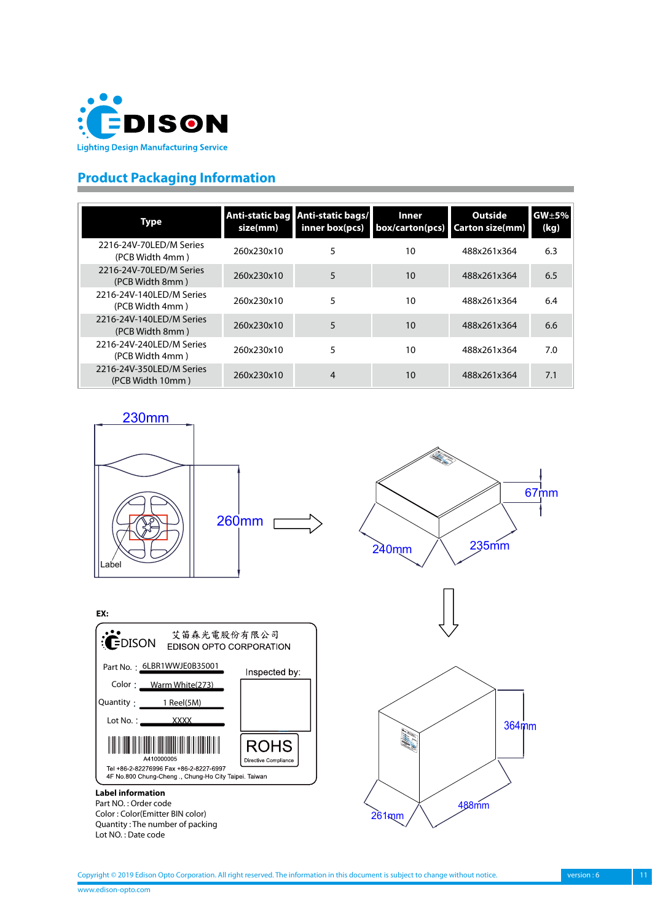<span id="page-10-0"></span>

# **Product Packaging Information**

| <b>Type</b>                                  | Anti-static bag<br>size(mm) | Anti-static bags/<br>inner box(pcs) | <b>Inner</b><br>box/carton(pcs) | <b>Outside</b><br><b>Carton size(mm)</b> | $GW+5%$<br>(kg) |
|----------------------------------------------|-----------------------------|-------------------------------------|---------------------------------|------------------------------------------|-----------------|
| 2216-24V-70LED/M Series<br>(PCB Width 4mm)   | 260x230x10                  | 5                                   | 10                              | 488x261x364                              | 6.3             |
| 2216-24V-70LED/M Series<br>(PCB Width 8mm)   | 260x230x10                  | 5                                   | 10                              | 488x261x364                              | 6.5             |
| 2216-24V-140LED/M Series<br>(PCB Width 4mm)  | 260x230x10                  | 5                                   | 10                              | 488x261x364                              | 6.4             |
| 2216-24V-140LED/M Series<br>(PCB Width 8mm)  | 260x230x10                  | 5                                   | 10                              | 488x261x364                              | 6.6             |
| 2216-24V-240LED/M Series<br>(PCB Width 4mm)  | 260x230x10                  | 5                                   | 10                              | 488x261x364                              | 7.0             |
| 2216-24V-350LED/M Series<br>(PCB Width 10mm) | 260x230x10                  | 4                                   | 10                              | 488x261x364                              | 7.1             |

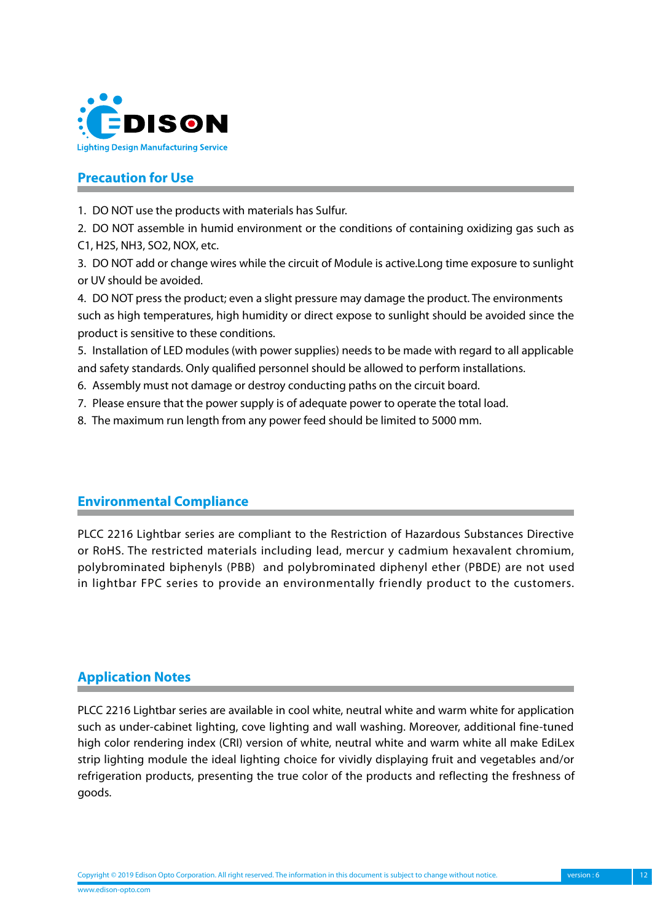<span id="page-11-0"></span>

# **Precaution for Use**

1. DO NOT use the products with materials has Sulfur.

2. DO NOT assemble in humid environment or the conditions of containing oxidizing gas such as C1, H2S, NH3, SO2, NOX, etc.

3. DO NOT add or change wires while the circuit of Module is active.Long time exposure to sunlight or UV should be avoided.

4. DO NOT press the product; even a slight pressure may damage the product. The environments such as high temperatures, high humidity or direct expose to sunlight should be avoided since the product is sensitive to these conditions.

5. Installation of LED modules (with power supplies) needs to be made with regard to all applicable and safety standards. Only qualified personnel should be allowed to perform installations.

6. Assembly must not damage or destroy conducting paths on the circuit board.

7. Please ensure that the power supply is of adequate power to operate the total load.

8. The maximum run length from any power feed should be limited to 5000 mm.

# **Environmental Compliance**

PLCC 2216 Lightbar series are compliant to the Restriction of Hazardous Substances Directive or RoHS. The restricted materials including lead, mercur y cadmium hexavalent chromium, polybrominated biphenyls (PBB) and polybrominated diphenyl ether (PBDE) are not used in lightbar FPC series to provide an environmentally friendly product to the customers.

# **Application Notes**

PLCC 2216 Lightbar series are available in cool white, neutral white and warm white for application such as under-cabinet lighting, cove lighting and wall washing. Moreover, additional fine-tuned high color rendering index (CRI) version of white, neutral white and warm white all make EdiLex strip lighting module the ideal lighting choice for vividly displaying fruit and vegetables and/or refrigeration products, presenting the true color of the products and reflecting the freshness of goods.